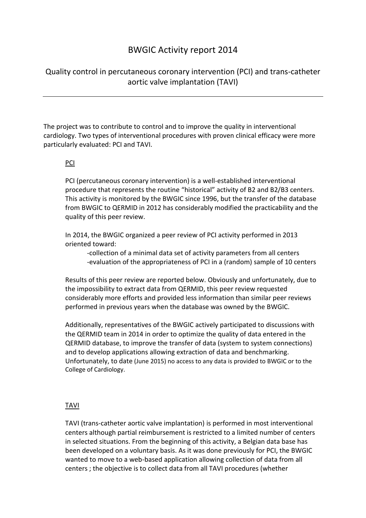# BWGIC Activity report 2014

Quality control in percutaneous coronary intervention (PCI) and trans-catheter aortic valve implantation (TAVI)

The project was to contribute to control and to improve the quality in interventional cardiology. Two types of interventional procedures with proven clinical efficacy were more particularly evaluated: PCI and TAVI.

# PCI

PCI (percutaneous coronary intervention) is a well-established interventional procedure that represents the routine "historical" activity of B2 and B2/B3 centers. This activity is monitored by the BWGIC since 1996, but the transfer of the database from BWGIC to QERMID in 2012 has considerably modified the practicability and the quality of this peer review.

In 2014, the BWGIC organized a peer review of PCI activity performed in 2013 oriented toward:

-collection of a minimal data set of activity parameters from all centers -evaluation of the appropriateness of PCI in a (random) sample of 10 centers

Results of this peer review are reported below. Obviously and unfortunately, due to the impossibility to extract data from QERMID, this peer review requested considerably more efforts and provided less information than similar peer reviews performed in previous years when the database was owned by the BWGIC.

Additionally, representatives of the BWGIC actively participated to discussions with the QERMID team in 2014 in order to optimize the quality of data entered in the QERMID database, to improve the transfer of data (system to system connections) and to develop applications allowing extraction of data and benchmarking. Unfortunately, to date (June 2015) no access to any data is provided to BWGIC or to the College of Cardiology.

## TAVI

TAVI (trans-catheter aortic valve implantation) is performed in most interventional centers although partial reimbursement is restricted to a limited number of centers in selected situations. From the beginning of this activity, a Belgian data base has been developed on a voluntary basis. As it was done previously for PCI, the BWGIC wanted to move to a web-based application allowing collection of data from all centers ; the objective is to collect data from all TAVI procedures (whether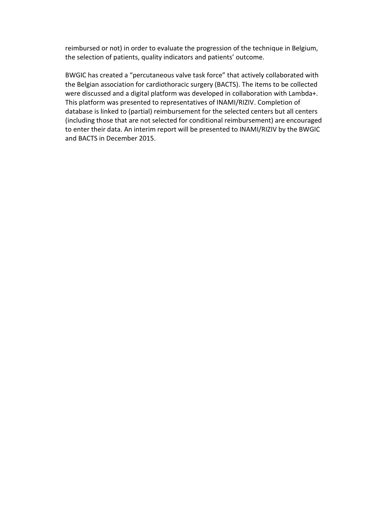reimbursed or not) in order to evaluate the progression of the technique in Belgium, the selection of patients, quality indicators and patients' outcome.

BWGIC has created a "percutaneous valve task force" that actively collaborated with the Belgian association for cardiothoracic surgery (BACTS). The items to be collected were discussed and a digital platform was developed in collaboration with Lambda+. This platform was presented to representatives of INAMI/RIZIV. Completion of database is linked to (partial) reimbursement for the selected centers but all centers (including those that are not selected for conditional reimbursement) are encouraged to enter their data. An interim report will be presented to INAMI/RIZIV by the BWGIC and BACTS in December 2015.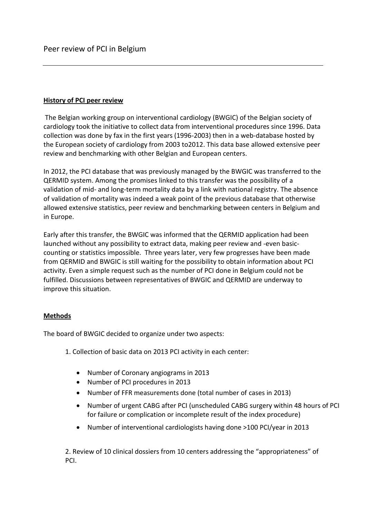## **History of PCI peer review**

The Belgian working group on interventional cardiology (BWGIC) of the Belgian society of cardiology took the initiative to collect data from interventional procedures since 1996. Data collection was done by fax in the first years (1996-2003) then in a web-database hosted by the European society of cardiology from 2003 to2012. This data base allowed extensive peer review and benchmarking with other Belgian and European centers.

In 2012, the PCI database that was previously managed by the BWGIC was transferred to the QERMID system. Among the promises linked to this transfer was the possibility of a validation of mid- and long-term mortality data by a link with national registry. The absence of validation of mortality was indeed a weak point of the previous database that otherwise allowed extensive statistics, peer review and benchmarking between centers in Belgium and in Europe.

Early after this transfer, the BWGIC was informed that the QERMID application had been launched without any possibility to extract data, making peer review and -even basiccounting or statistics impossible. Three years later, very few progresses have been made from QERMID and BWGIC is still waiting for the possibility to obtain information about PCI activity. Even a simple request such as the number of PCI done in Belgium could not be fulfilled. Discussions between representatives of BWGIC and QERMID are underway to improve this situation.

#### **Methods**

The board of BWGIC decided to organize under two aspects:

- 1. Collection of basic data on 2013 PCI activity in each center:
	- Number of Coronary angiograms in 2013
	- Number of PCI procedures in 2013
	- Number of FFR measurements done (total number of cases in 2013)
	- Number of urgent CABG after PCI (unscheduled CABG surgery within 48 hours of PCI for failure or complication or incomplete result of the index procedure)
	- Number of interventional cardiologists having done >100 PCI/year in 2013

2. Review of 10 clinical dossiers from 10 centers addressing the "appropriateness" of PCI.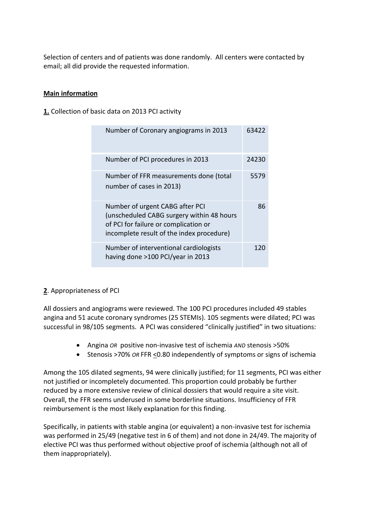Selection of centers and of patients was done randomly. All centers were contacted by email; all did provide the requested information.

## **Main information**

**1.** Collection of basic data on 2013 PCI activity

| Number of Coronary angiograms in 2013                                                                                                                              | 63422 |
|--------------------------------------------------------------------------------------------------------------------------------------------------------------------|-------|
| Number of PCI procedures in 2013                                                                                                                                   | 24230 |
| Number of FFR measurements done (total<br>number of cases in 2013)                                                                                                 | 5579  |
| Number of urgent CABG after PCI<br>(unscheduled CABG surgery within 48 hours<br>of PCI for failure or complication or<br>incomplete result of the index procedure) | 86    |
| Number of interventional cardiologists<br>having done >100 PCI/year in 2013                                                                                        | 120   |

## **2**. Appropriateness of PCI

All dossiers and angiograms were reviewed. The 100 PCI procedures included 49 stables angina and 51 acute coronary syndromes (25 STEMIs). 105 segments were dilated; PCI was successful in 98/105 segments. A PCI was considered "clinically justified" in two situations:

- Angina *OR* positive non-invasive test of ischemia *AND* stenosis >50%
- Stenosis >70% OR FFR <0.80 independently of symptoms or signs of ischemia

Among the 105 dilated segments, 94 were clinically justified; for 11 segments, PCI was either not justified or incompletely documented. This proportion could probably be further reduced by a more extensive review of clinical dossiers that would require a site visit. Overall, the FFR seems underused in some borderline situations. Insufficiency of FFR reimbursement is the most likely explanation for this finding.

Specifically, in patients with stable angina (or equivalent) a non-invasive test for ischemia was performed in 25/49 (negative test in 6 of them) and not done in 24/49. The majority of elective PCI was thus performed without objective proof of ischemia (although not all of them inappropriately).